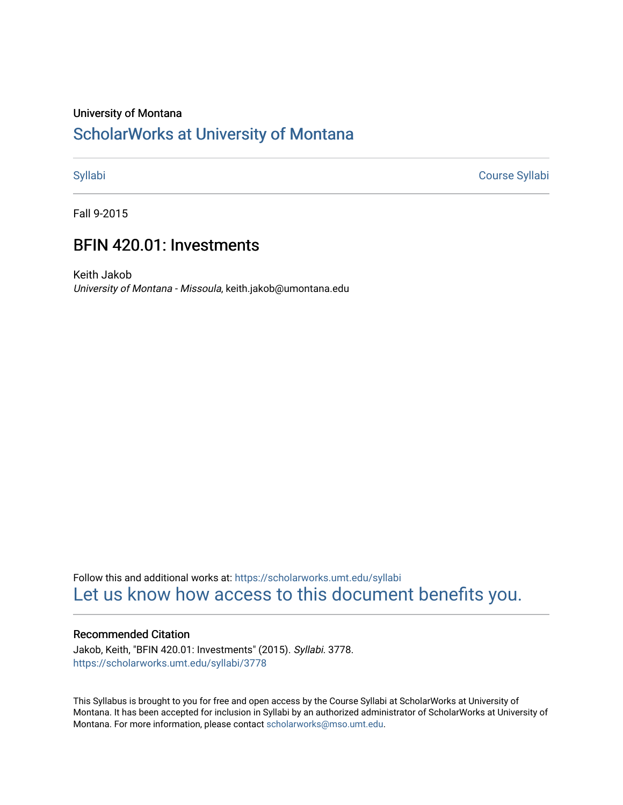#### University of Montana

# [ScholarWorks at University of Montana](https://scholarworks.umt.edu/)

[Syllabi](https://scholarworks.umt.edu/syllabi) [Course Syllabi](https://scholarworks.umt.edu/course_syllabi) 

Fall 9-2015

# BFIN 420.01: Investments

Keith Jakob University of Montana - Missoula, keith.jakob@umontana.edu

Follow this and additional works at: [https://scholarworks.umt.edu/syllabi](https://scholarworks.umt.edu/syllabi?utm_source=scholarworks.umt.edu%2Fsyllabi%2F3778&utm_medium=PDF&utm_campaign=PDFCoverPages)  [Let us know how access to this document benefits you.](https://goo.gl/forms/s2rGfXOLzz71qgsB2) 

#### Recommended Citation

Jakob, Keith, "BFIN 420.01: Investments" (2015). Syllabi. 3778. [https://scholarworks.umt.edu/syllabi/3778](https://scholarworks.umt.edu/syllabi/3778?utm_source=scholarworks.umt.edu%2Fsyllabi%2F3778&utm_medium=PDF&utm_campaign=PDFCoverPages)

This Syllabus is brought to you for free and open access by the Course Syllabi at ScholarWorks at University of Montana. It has been accepted for inclusion in Syllabi by an authorized administrator of ScholarWorks at University of Montana. For more information, please contact [scholarworks@mso.umt.edu.](mailto:scholarworks@mso.umt.edu)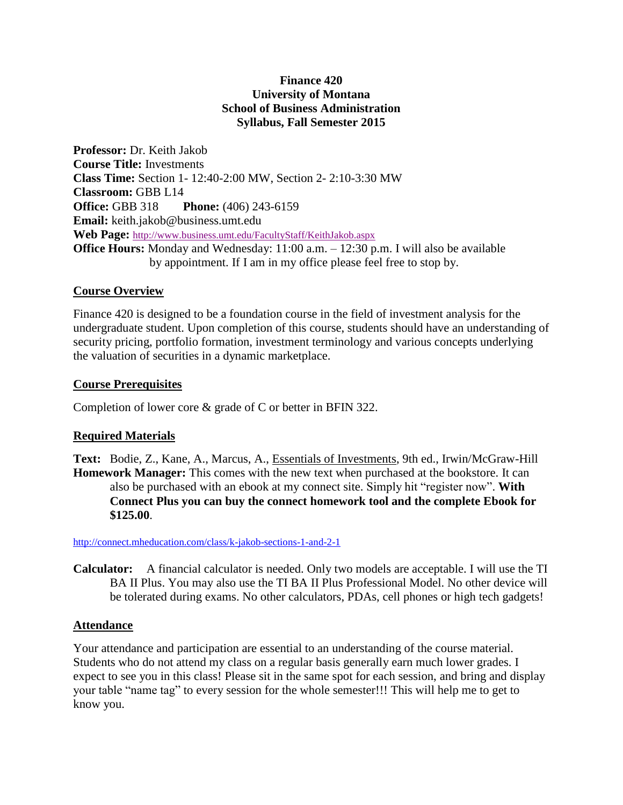## **Finance 420 University of Montana School of Business Administration Syllabus, Fall Semester 2015**

**Professor:** Dr. Keith Jakob **Course Title:** Investments **Class Time:** Section 1- 12:40-2:00 MW, Section 2- 2:10-3:30 MW **Classroom:** GBB L14 **Office:** GBB 318 **Phone:** (406) 243-6159 **Email:** keith.jakob@business.umt.edu **Web Page:** <http://www.business.umt.edu/FacultyStaff/KeithJakob.aspx> **Office Hours:** Monday and Wednesday: 11:00 a.m. – 12:30 p.m. I will also be available by appointment. If I am in my office please feel free to stop by.

### **Course Overview**

Finance 420 is designed to be a foundation course in the field of investment analysis for the undergraduate student. Upon completion of this course, students should have an understanding of security pricing, portfolio formation, investment terminology and various concepts underlying the valuation of securities in a dynamic marketplace.

## **Course Prerequisites**

Completion of lower core & grade of C or better in BFIN 322.

# **Required Materials**

**Text:** Bodie, Z., Kane, A., Marcus, A., Essentials of Investments, 9th ed., Irwin/McGraw-Hill **Homework Manager:** This comes with the new text when purchased at the bookstore. It can also be purchased with an ebook at my connect site. Simply hit "register now". **With Connect Plus you can buy the connect homework tool and the complete Ebook for \$125.00**.

<http://connect.mheducation.com/class/k-jakob-sections-1-and-2-1>

**Calculator:** A financial calculator is needed. Only two models are acceptable. I will use the TI BA II Plus. You may also use the TI BA II Plus Professional Model. No other device will be tolerated during exams. No other calculators, PDAs, cell phones or high tech gadgets!

# **Attendance**

Your attendance and participation are essential to an understanding of the course material. Students who do not attend my class on a regular basis generally earn much lower grades. I expect to see you in this class! Please sit in the same spot for each session, and bring and display your table "name tag" to every session for the whole semester!!! This will help me to get to know you.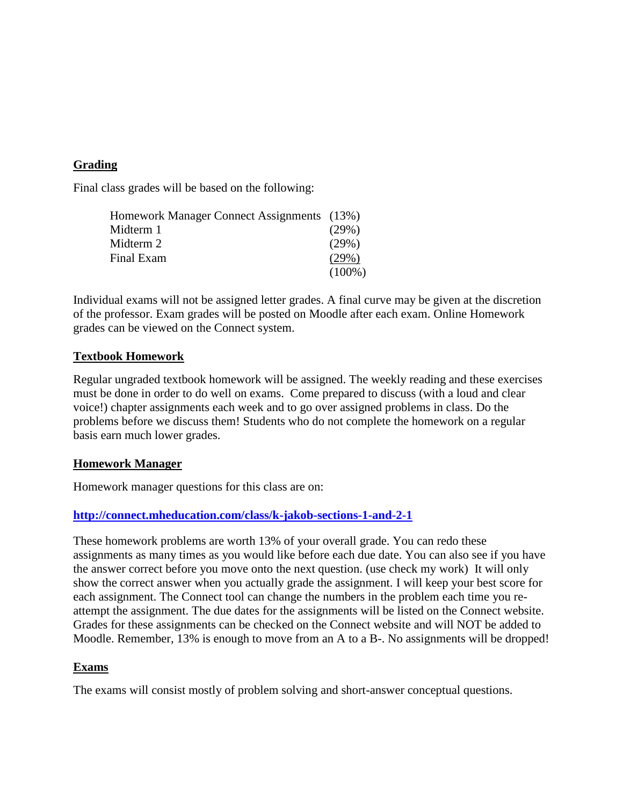# **Grading**

Final class grades will be based on the following:

| Homework Manager Connect Assignments (13%) |           |
|--------------------------------------------|-----------|
| Midterm 1                                  | (29%)     |
| Midterm 2                                  | (29%)     |
| Final Exam                                 | (29%)     |
|                                            | $(100\%)$ |

Individual exams will not be assigned letter grades. A final curve may be given at the discretion of the professor. Exam grades will be posted on Moodle after each exam. Online Homework grades can be viewed on the Connect system.

## **Textbook Homework**

Regular ungraded textbook homework will be assigned. The weekly reading and these exercises must be done in order to do well on exams. Come prepared to discuss (with a loud and clear voice!) chapter assignments each week and to go over assigned problems in class. Do the problems before we discuss them! Students who do not complete the homework on a regular basis earn much lower grades.

### **Homework Manager**

Homework manager questions for this class are on:

# **<http://connect.mheducation.com/class/k-jakob-sections-1-and-2-1>**

These homework problems are worth 13% of your overall grade. You can redo these assignments as many times as you would like before each due date. You can also see if you have the answer correct before you move onto the next question. (use check my work) It will only show the correct answer when you actually grade the assignment. I will keep your best score for each assignment. The Connect tool can change the numbers in the problem each time you reattempt the assignment. The due dates for the assignments will be listed on the Connect website. Grades for these assignments can be checked on the Connect website and will NOT be added to Moodle. Remember, 13% is enough to move from an A to a B-. No assignments will be dropped!

### **Exams**

The exams will consist mostly of problem solving and short-answer conceptual questions.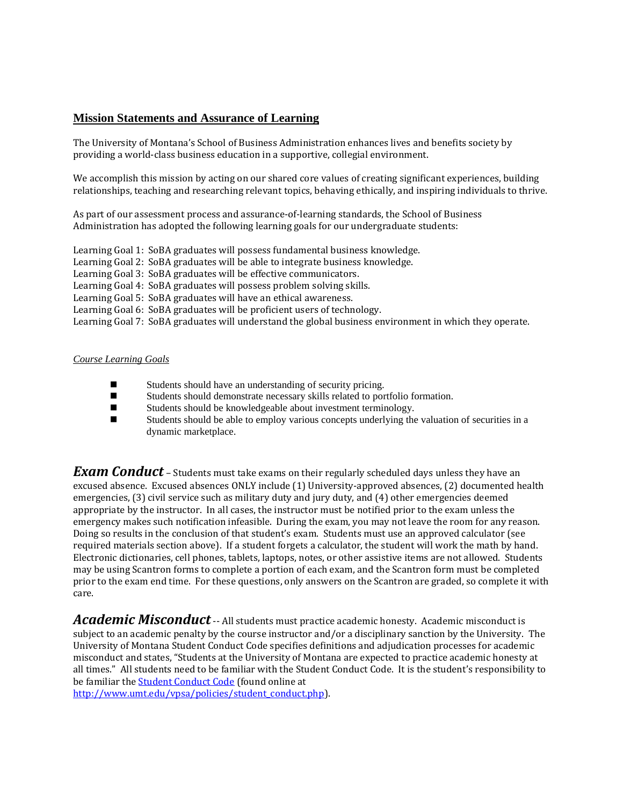#### **Mission Statements and Assurance of Learning**

The University of Montana's School of Business Administration enhances lives and benefits society by providing a world-class business education in a supportive, collegial environment.

We accomplish this mission by acting on our shared core values of creating significant experiences, building relationships, teaching and researching relevant topics, behaving ethically, and inspiring individuals to thrive.

As part of our assessment process and assurance-of-learning standards, the School of Business Administration has adopted the following learning goals for our undergraduate students:

Learning Goal 1: SoBA graduates will possess fundamental business knowledge.

Learning Goal 2: SoBA graduates will be able to integrate business knowledge.

Learning Goal 3: SoBA graduates will be effective communicators.

Learning Goal 4: SoBA graduates will possess problem solving skills.

Learning Goal 5: SoBA graduates will have an ethical awareness.

Learning Goal 6: SoBA graduates will be proficient users of technology.

Learning Goal 7: SoBA graduates will understand the global business environment in which they operate.

#### *Course Learning Goals*

- Students should have an understanding of security pricing.
- Students should demonstrate necessary skills related to portfolio formation.
- Students should be knowledgeable about investment terminology.
- Students should be able to employ various concepts underlying the valuation of securities in a dynamic marketplace.

*Exam Conduct* – Students must take exams on their regularly scheduled days unless they have an excused absence. Excused absences ONLY include (1) University-approved absences, (2) documented health emergencies, (3) civil service such as military duty and jury duty, and (4) other emergencies deemed appropriate by the instructor. In all cases, the instructor must be notified prior to the exam unless the emergency makes such notification infeasible. During the exam, you may not leave the room for any reason. Doing so results in the conclusion of that student's exam. Students must use an approved calculator (see required materials section above). If a student forgets a calculator, the student will work the math by hand. Electronic dictionaries, cell phones, tablets, laptops, notes, or other assistive items are not allowed. Students may be using Scantron forms to complete a portion of each exam, and the Scantron form must be completed prior to the exam end time. For these questions, only answers on the Scantron are graded, so complete it with care.

*Academic Misconduct*-- All students must practice academic honesty. Academic misconduct is subject to an academic penalty by the course instructor and/or a disciplinary sanction by the University. The University of Montana Student Conduct Code specifies definitions and adjudication processes for academic misconduct and states, "Students at the University of Montana are expected to practice academic honesty at all times." All students need to be familiar with the Student Conduct Code. It is the student's responsibility to be familiar the **Student Conduct Code** (found online at

[http://www.umt.edu/vpsa/policies/student\\_conduct.php\)](http://www.umt.edu/vpsa/policies/student_conduct.php).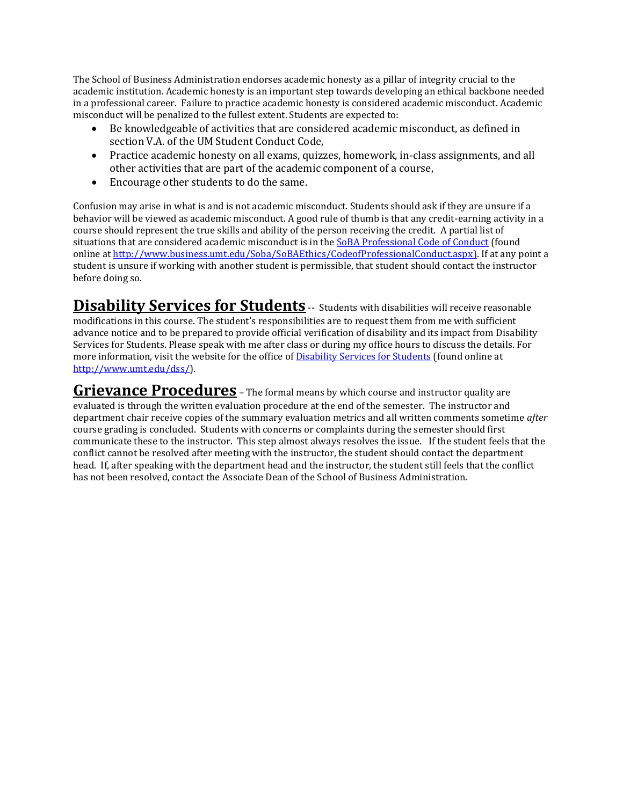The School of Business Administration endorses academic honesty as a pillar of integrity crucial to the academic institution. Academic honesty is an important step towards developing an ethical backbone needed in a professional career. Failure to practice academic honesty is considered academic misconduct. Academic misconduct will be penalized to the fullest extent. Students are expected to:

- Be knowledgeable of activities that are considered academic misconduct, as defined in section V.A. of the UM Student Conduct Code,
- Practice academic honesty on all exams, quizzes, homework, in-class assignments, and all other activities that are part of the academic component of a course,
- Encourage other students to do the same.

Confusion may arise in what is and is not academic misconduct. Students should ask if they are unsure if a behavior will be viewed as academic misconduct. A good rule of thumb is that any credit-earning activity in a course should represent the true skills and ability of the person receiving the credit. A partial list of situations that are considered academic misconduct is in the [SoBA Professional Code of Conduct \(](http://www.business.umt.edu/Soba/SoBAEthics/CodeofProfessionalConduct.aspx)found online a[t http://www.business.umt.edu/Soba/SoBAEthics/CodeofProfessionalConduct.aspx\)](http://www.business.umt.edu/Soba/SoBAEthics/CodeofProfessionalConduct.aspx). If at any point a student is unsure if working with another student is permissible, that student should contact the instructor before doing so.

**Disability Services for Students** -- Students with disabilities will receive reasonable modifications in this course. The student's responsibilities are to request them from me with sufficient advance notice and to be prepared to provide official verification of disability and its impact from Disability Services for Students. Please speak with me after class or during my office hours to discuss the details. For more information, visit the website for the office of **Disability Services for Students** (found online at [http://www.umt.edu/dss/\)](http://www.umt.edu/dss/).

**Grievance Procedures** - The formal means by which course and instructor quality are evaluated is through the written evaluation procedure at the end of the semester. The instructor and department chair receive copies of the summary evaluation metrics and all written comments sometime *after* course grading is concluded. Students with concerns or complaints during the semester should first communicate these to the instructor. This step almost always resolves the issue. If the student feels that the conflict cannot be resolved after meeting with the instructor, the student should contact the department head. If, after speaking with the department head and the instructor, the student still feels that the conflict has not been resolved, contact the Associate Dean of the School of Business Administration.